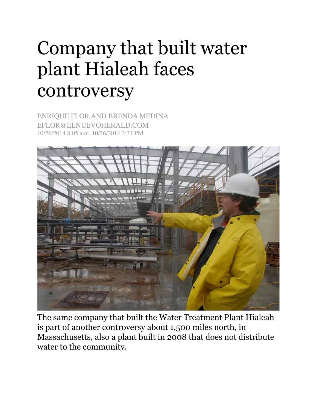## Company that built water plant Hialeah faces controversy

ENRIQUE FLOR AND BRENDA MEDINA EFLOR@ELNUEVOHERALD.COM 10/26/2014 8:05 a.m. 10/26/2014 3:31 PM



The same company that built the Water Treatment Plant Hialeah is part of another controversy about 1,500 miles north, in Massachusetts, also a plant built in 2008 that does not distribute water to the community.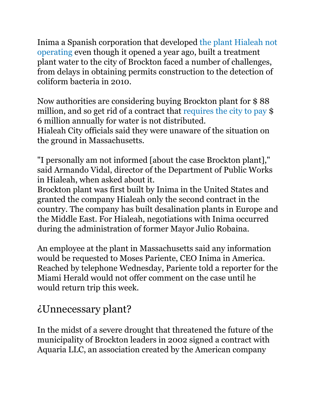[Inima a Spanish corporation that developed the plant Hialeah not](http://translate.googleusercontent.com/translate_c?depth=1&hl=en&rurl=translate.google.com&sl=es&tl=en&u=http://www.elnuevoherald.com/noticias/sur-de-la-florida/article2540800.html&usg=ALkJrhirBHx-BN4X_jCu2_H34CvEhIqYyg)  operating even though it opened a year ago, built a treatment plant water to the city of Brockton faced a number of challenges, from delays in obtaining permits construction to the detection of coliform bacteria in 2010.

Now authorities are considering buying Brockton plant for \$ 88 million, and so get rid of a contract that [requires the city to pay](http://translate.googleusercontent.com/translate_c?depth=1&hl=en&rurl=translate.google.com&sl=es&tl=en&u=http://www.enterprisenews.com/article/20130515/News/305159776&usg=ALkJrhg5-g201A-P8u7_wfQPRDiUO8OXdQ) \$ 6 million annually for water is not distributed. Hialeah City officials said they were unaware of the situation on the ground in Massachusetts.

"I personally am not informed [about the case Brockton plant]," said Armando Vidal, director of the Department of Public Works in Hialeah, when asked about it.

Brockton plant was first built by Inima in the United States and granted the company Hialeah only the second contract in the country. The company has built desalination plants in Europe and the Middle East. For Hialeah, negotiations with Inima occurred during the administration of former Mayor Julio Robaina.

An employee at the plant in Massachusetts said any information would be requested to Moses Pariente, CEO Inima in America. Reached by telephone Wednesday, Pariente told a reporter for the Miami Herald would not offer comment on the case until he would return trip this week.

## ¿Unnecessary plant?

In the midst of a severe drought that threatened the future of the municipality of Brockton leaders in 2002 signed a contract with Aquaria LLC, an association created by the American company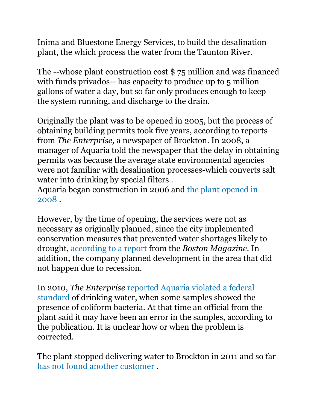Inima and Bluestone Energy Services, to build the desalination plant, the which process the water from the Taunton River.

The --whose plant construction cost \$ 75 million and was financed with funds privados-- has capacity to produce up to 5 million gallons of water a day, but so far only produces enough to keep the system running, and discharge to the drain.

Originally the plant was to be opened in 2005, but the process of obtaining building permits took five years, according to reports from *The Enterprise,* a newspaper of Brockton. In 2008, a manager of Aquaria told the newspaper that the delay in obtaining permits was because the average state environmental agencies were not familiar with desalination processes-which converts salt water into drinking by special filters .

[Aquaria began construction in 2006 and the plant opened in](http://translate.googleusercontent.com/translate_c?depth=1&hl=en&rurl=translate.google.com&sl=es&tl=en&u=http://www.enterprisenews.com/x35060814/Desalinated-water-ready-to-flow-into-Brockton-but-does-the-city-need-it&usg=ALkJrhg8Tqjs0rWt_kVtLtDMszQ074IIMQ)  2008 .

However, by the time of opening, the services were not as necessary as originally planned, since the city implemented conservation measures that prevented water shortages likely to drought, [according to a report](http://translate.googleusercontent.com/translate_c?depth=1&hl=en&rurl=translate.google.com&sl=es&tl=en&u=http://www.bostonmagazine.com/news/article/2013/05/28/brockton-desalination-plant/&usg=ALkJrhio0anbc9uvVM3GCv-5UURcma2gNA) from the *Boston Magazine.* In addition, the company planned development in the area that did not happen due to recession.

In 2010, *The Enterprise* reported Aquaria violated a federal [standard of drinking water, when some samples showed the](http://translate.googleusercontent.com/translate_c?depth=1&hl=en&rurl=translate.google.com&sl=es&tl=en&u=http://www.enterprisenews.com/x1621194331/Aquaria-plant-violates-drinking-water-standard&usg=ALkJrhh1bVwgMQXb9-LBjC_7hnj0b3joEA)  presence of coliform bacteria. At that time an official from the plant said it may have been an error in the samples, according to the publication. It is unclear how or when the problem is corrected.

The plant stopped delivering water to Brockton in 2011 and so far [has not found another customer](http://translate.googleusercontent.com/translate_c?depth=1&hl=en&rurl=translate.google.com&sl=es&tl=en&u=http://www.enterprisenews.com/article/20110823/News/308239804&usg=ALkJrhjooalvY30rB0-JgDSPY8Xz9nOPug) .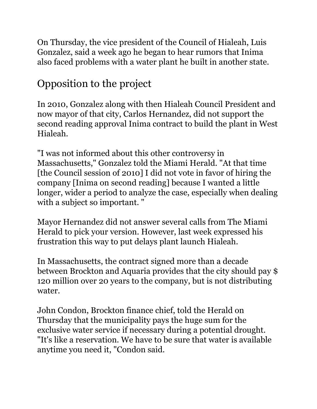On Thursday, the vice president of the Council of Hialeah, Luis Gonzalez, said a week ago he began to hear rumors that Inima also faced problems with a water plant he built in another state.

## Opposition to the project

In 2010, Gonzalez along with then Hialeah Council President and now mayor of that city, Carlos Hernandez, did not support the second reading approval Inima contract to build the plant in West Hialeah.

"I was not informed about this other controversy in Massachusetts," Gonzalez told the Miami Herald. "At that time [the Council session of 2010] I did not vote in favor of hiring the company [Inima on second reading] because I wanted a little longer, wider a period to analyze the case, especially when dealing with a subject so important."

Mayor Hernandez did not answer several calls from The Miami Herald to pick your version. However, last week expressed his frustration this way to put delays plant launch Hialeah.

In Massachusetts, the contract signed more than a decade between Brockton and Aquaria provides that the city should pay \$ 120 million over 20 years to the company, but is not distributing water.

John Condon, Brockton finance chief, told the Herald on Thursday that the municipality pays the huge sum for the exclusive water service if necessary during a potential drought. "It's like a reservation. We have to be sure that water is available anytime you need it, "Condon said.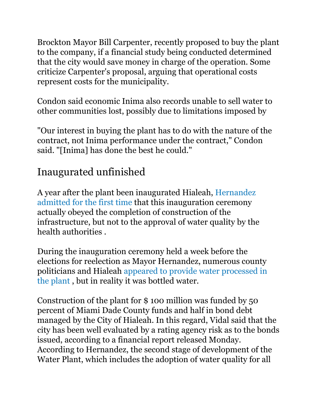Brockton Mayor Bill Carpenter, recently proposed to buy the plant to the company, if a financial study being conducted determined that the city would save money in charge of the operation. Some criticize Carpenter's proposal, arguing that operational costs represent costs for the municipality.

Condon said economic Inima also records unable to sell water to other communities lost, possibly due to limitations imposed by

"Our interest in buying the plant has to do with the nature of the contract, not Inima performance under the contract," Condon said. "[Inima] has done the best he could."

## Inaugurated unfinished

[A year after the plant been inaugurated Hialeah, Hernandez](http://translate.googleusercontent.com/translate_c?depth=1&hl=en&rurl=translate.google.com&sl=es&tl=en&u=http://www.elnuevoherald.com/noticias/sur-de-la-florida/article3078309.html&usg=ALkJrhh0IFcwWYDyfu2Z95b4K773vOyOXg)  admitted for the first time that this inauguration ceremony actually obeyed the completion of construction of the infrastructure, but not to the approval of water quality by the health authorities .

During the inauguration ceremony held a week before the elections for reelection as Mayor Hernandez, numerous county [politicians and Hialeah appeared to provide water processed in](http://translate.googleusercontent.com/translate_c?depth=1&hl=en&rurl=translate.google.com&sl=es&tl=en&u=http://www.elnuevoherald.com/noticias/sur-de-la-florida/article2027616.html&usg=ALkJrhgWwWTUllSLfylwVnE9ro1TF1wT8A)  the plant , but in reality it was bottled water.

Construction of the plant for \$ 100 million was funded by 50 percent of Miami Dade County funds and half in bond debt managed by the City of Hialeah. In this regard, Vidal said that the city has been well evaluated by a rating agency risk as to the bonds issued, according to a financial report released Monday. According to Hernandez, the second stage of development of the Water Plant, which includes the adoption of water quality for all